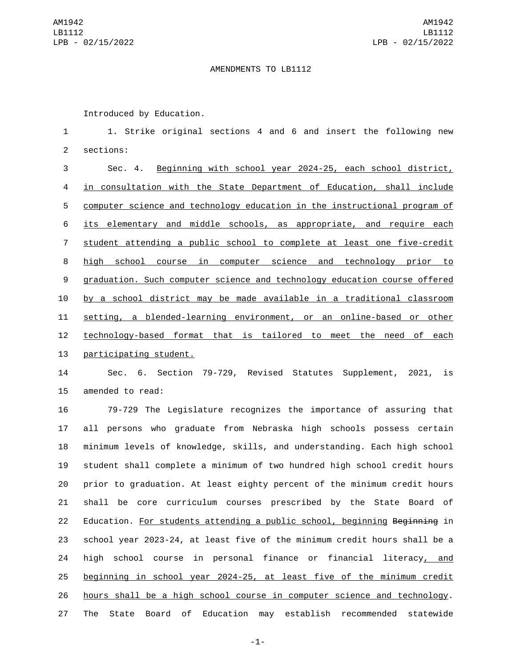## AMENDMENTS TO LB1112

Introduced by Education.

 1. Strike original sections 4 and 6 and insert the following new 2 sections:

 Sec. 4. Beginning with school year 2024-25, each school district, in consultation with the State Department of Education, shall include computer science and technology education in the instructional program of its elementary and middle schools, as appropriate, and require each student attending a public school to complete at least one five-credit high school course in computer science and technology prior to graduation. Such computer science and technology education course offered by a school district may be made available in a traditional classroom setting, a blended-learning environment, or an online-based or other technology-based format that is tailored to meet the need of each 13 participating student.

 Sec. 6. Section 79-729, Revised Statutes Supplement, 2021, is 15 amended to read:

 79-729 The Legislature recognizes the importance of assuring that all persons who graduate from Nebraska high schools possess certain minimum levels of knowledge, skills, and understanding. Each high school student shall complete a minimum of two hundred high school credit hours prior to graduation. At least eighty percent of the minimum credit hours shall be core curriculum courses prescribed by the State Board of 22 Education. For students attending a public school, beginning Beginning in school year 2023-24, at least five of the minimum credit hours shall be a high school course in personal finance or financial literacy, and beginning in school year 2024-25, at least five of the minimum credit hours shall be a high school course in computer science and technology. The State Board of Education may establish recommended statewide

-1-